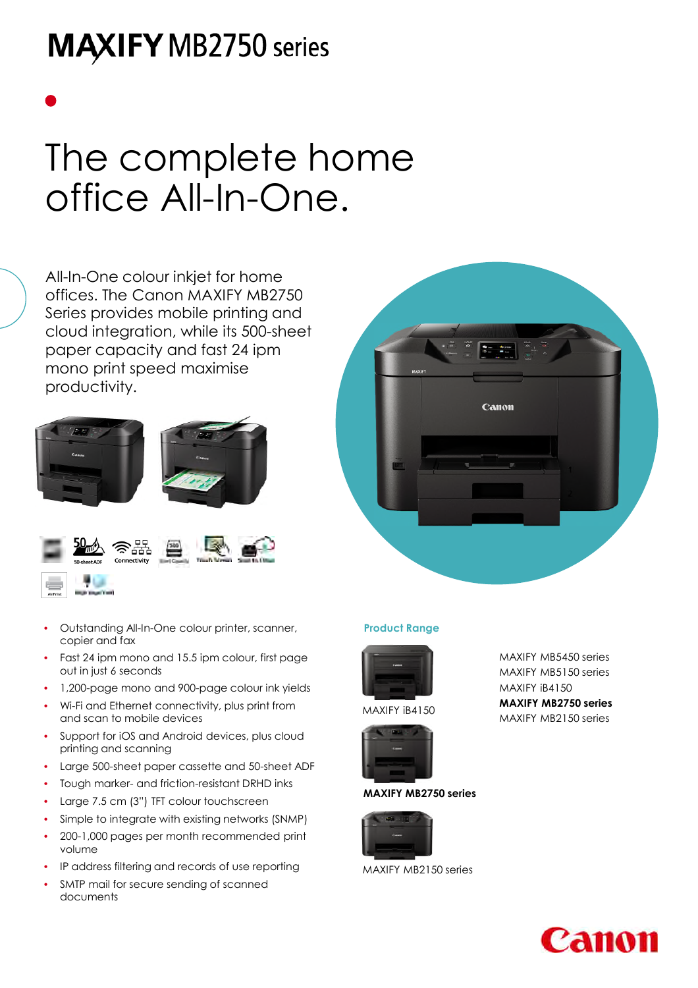## **MAXIFY MB2750 series**

# The complete home office All-In-One.

All-In-One colour inkjet for home offices. The Canon MAXIFY MB2750 Series provides mobile printing and cloud integration, while its 500-sheet paper capacity and fast 24 ipm mono print speed maximise productivity.





- Outstanding All-In-One colour printer, scanner, copier and fax
- Fast 24 ipm mono and 15.5 ipm colour, first page out in just 6 seconds
- 1,200-page mono and 900-page colour ink yields
- Wi-Fi and Ethernet connectivity, plus print from and scan to mobile devices
- Support for iOS and Android devices, plus cloud printing and scanning
- Large 500-sheet paper cassette and 50-sheet ADF
- Tough marker- and friction-resistant DRHD inks
- Large 7.5 cm (3") TFT colour touchscreen
- Simple to integrate with existing networks (SNMP)
- 200-1,000 pages per month recommended print volume
- IP address filtering and records of use reporting
- SMTP mail for secure sending of scanned documents



### **Product Range**



MAXIFY iB4150



### **MAXIFY MB2750 series**



MAXIFY MB2150 series

MAXIFY MB5450 series MAXIFY MB5150 series MAXIFY iB4150 **MAXIFY MB2750 series** MAXIFY MB2150 series

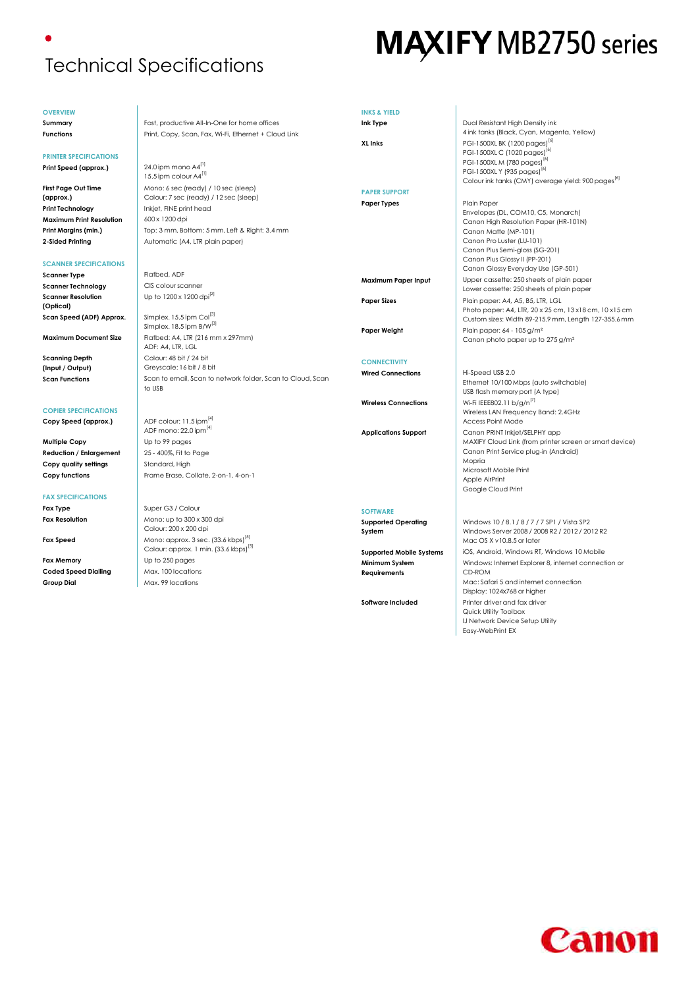### Technical Specifications

**OVERVIEW**

**PRINTER SPECIFICATIONS**

**First Page Out Time (approx.)**

**Scanner Resolution (Optical)**

**Scanning Depth (Input / Output)**

**COPIER SPECIFICATIONS**

**FAX SPECIFICATIONS**

## **MAXIFY MB2750 series**

**Summary** Fast, productive All-In-One for home offices **Functions** Print, Copy, Scan, Fax, Wi-Fi, Ethernet + Cloud Link **Print Speed (approx.)** 24.0 ipm mono A4<sup>[1]</sup> 15.5 ipm colour A4<sup>[1]</sup> Mono: 6 sec (ready) / 10 sec (sleep) Colour: 7 sec (ready) / 12 sec (sleep) **Print Technology Inkiet, FINE print head Maximum Print Resolution** 600 x 1200 dpi **Print Margins (min.)** Top: 3 mm, Bottom: 5 mm, Left & Right: 3.4 mm **2-Sided Printing Case Contract Automatic (A4, LTR plain paper) SCANNER SPECIFICATIONS Scanner Type** Flatbed, ADF **Scanner Technology CIS colour scanner** Up to 1200 x 1200 dpi[2] **Scan Speed (ADF) Approx.** Simplex. 15.5 ipm Col<sup>[3]</sup> Simplex. 18.5 ipm B/W<sup>[3]</sup> **Maximum Document Size** Flatbed: A4, LTR (216 mm x 297mm)  $ADF: A4, ITR, IGI$ Colour: 48 bit / 24 bit Greyscale: 16 bit / 8 bit **Scan Functions** Scan to email, Scan to network folder, Scan to Cloud, Scan to USB **Copy Speed (approx.)** ADF colour: 11.5 ipm<sup>[4]</sup> ADF mono: 22.0 ipm<sup>[4]</sup> **Multiple Copy** Up to 99 pages **Reduction / Enlargement** 25 - 400%, Fit to Page **Copy quality settings** Standard, High **Copy functions** Frame Erase, Collate, 2-on-1, 4-on-1 **Fax Type Super G3 / Colour Fax Resolution** Mono: up to 300 x 300 dpi Colour: 200 x 200 dpi **Fax Speed** Mono: approx. 3 sec. (33.6 kbps)<sup>[5]</sup> Colour: approx. 1 min. (33.6 kbps)<sup>[5]</sup> **Fax Memory** Up to 250 pages **Coded Speed Dialling Coded Speed Dialling Conductions Group Dial** Max. 99 locations **INKS & YIELD Ink Type** Dual Resistant High Density ink 4 ink tanks (Black, Cyan, Magenta, Yellow) **XL Inks** PGI-1500XL BK (1200 pages)<sup>[6]</sup> PGI-1500XL C (1020 pages) PGI-1500XL M (780 pages) PGI-1500XL Y (935 pages)<sup>[6]</sup> Colour ink tanks (CMY) average yield: 900 pages<sup>[6]</sup> **PAPER SUPPORT** Paper Types **Plain Paper** Plain Paper Envelopes (DL, COM10, C5, Monarch) Canon High Resolution Paper (HR-101N) Canon Matte (MP-101) Canon Pro Luster (LU-101) Canon Plus Semi-gloss (SG-201) Canon Plus Glossy II (PP-201) Canon Glossy Everyday Use (GP-501) **Maximum Paper Input** Upper cassette: 250 sheets of plain paper Lower cassette: 250 sheets of plain paper **Paper Sizes** Plain paper: A4, A5, B5, LTR, LGL Photo paper: A4, LTR, 20 x 25 cm, 13 x18 cm, 10 x15 cm Custom sizes: Width 89-215.9 mm, Length 127-355.6 mm **Paper Weight** Plain paper: 64 - 105 g/m<sup>2</sup> Canon photo paper up to 275 g/m² **CONNECTIVITY Wired Connections** Hi-Speed USB 2.0 Ethernet 10/100 Mbps (auto switchable) USB flash memory port (A type) **Wireless Connections** Wi-Fi IEEE802.11 b/g/n<sup>[7]</sup> Wireless LAN Frequency Band: 2.4GHz Access Point Mode **Applications Support** Canon PRINT Inkjet/SELPHY app MAXIFY Cloud Link (from printer screen or smart device) Canon Print Service plug-in (Android) Mopria Microsoft Mobile Print Apple AirPrint Google Cloud Print **SOFTWARE Supported Operating System** Windows 10 / 8.1 / 8 / 7 / 7 SP1 / Vista SP2 Windows Server 2008 / 2008 R2 / 2012 / 2012 R2 Mac OS X v10.8.5 or later **Supported Mobile Systems** iOS, Android, Windows RT, Windows 10 Mobile **Minimum System Requirements** Windows: Internet Explorer 8, internet connection or CD-ROM Mac: Safari 5 and internet connection Display: 1024x768 or higher

**Software Included** Printer driver and fax driver Quick Utility Toolbox IJ Network Device Setup Utility

Easy-WebPrint EX

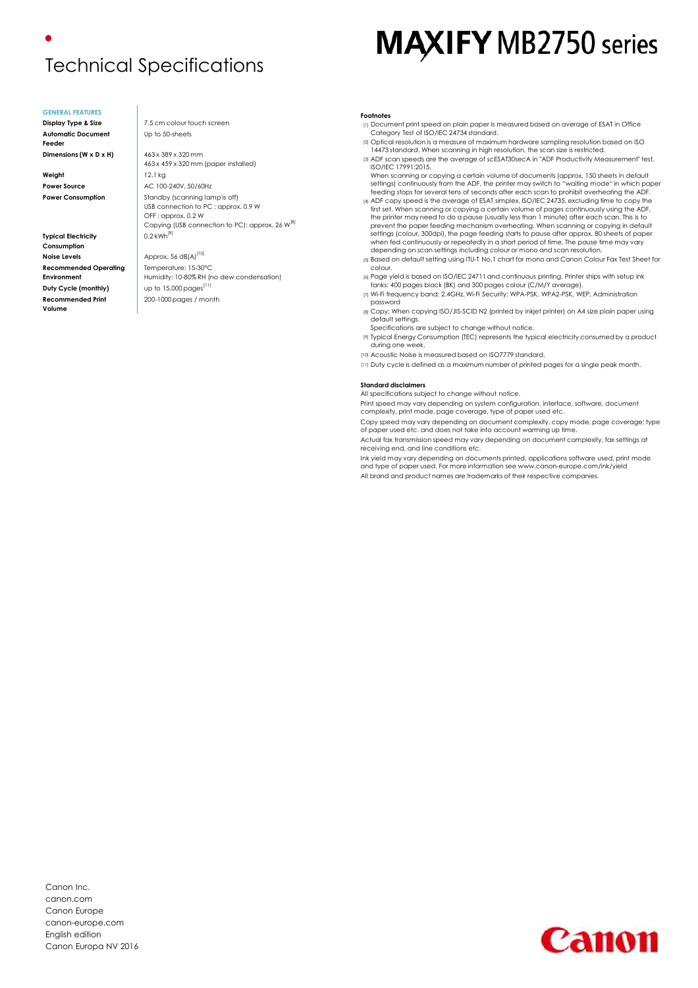### Technical Specifications

#### **GENERAL FEATURES**

**Automatic Document Feeder**

**Weight** 12.1 kg

**Typical Electricity Consumption Noise Levels Approx.** 56 dB(A)<sup>[10]</sup> **Recommended Operating Environment Duty Cycle (monthly)** up to 15,000 pages<sup>[11]</sup> **Recommended Print Volume**

**Display Type & Size** 7.5 cm colour touch screen Up to 50-sheets

200-1000 pages / month

**Dimensions (W x D x H)** 463 x 389 x 320 mm 463 x 459 x 320 mm (paper installed) **Power Source AC 100-240V, 50/60Hz Power Consumption** Standby (scanning lamp is off) USB connection to PC : approx. 0.9 W OFF : approx. 0.2 W Copying (USB connection to PC): approx. 26 W<sup>[8]</sup>  $0.2$  kWh<sup>[9]</sup> Temperature: 15-30°C Humidity: 10-80% RH (no dew condensation)

## **MAXIFY MB2750 series**

#### **Footnotes**

- [1] Document print speed on plain paper is measured based on average of ESAT in Office Category Test of ISO/IEC 24734 standard.
- [2] Optical resolution is a measure of maximum hardware sampling resolution based on ISO 14473 standard. When scanning in high resolution, the scan size is restricted.
- [3] ADF scan speeds are the average of scESAT30secA in "ADF Productivity Measurement" test, ISO/IEC 17991:2015. When scanning or copying a certain volume of documents (approx. 150 sheets in default
- settings) continuously from the ADF, the printer may switch to "waiting mode" in which paper feeding stops for several tens of seconds after each scan to prohibit overheating the ADF. [4] ADF copy speed is the average of ESAT simplex, ISO/IEC 24735, excluding time to copy the
- first set. When scanning or copying a certain volume of pages continuously using the ADF, the printer may need to do a pause (usually less than 1 minute) after each scan. This is to prevent the paper feeding mechanism overheating. When scanning or copying in default settings (colour, 300dpi), the page feeding starts to pause after approx. 80 sheets of paper when fed continuously or repeatedly in a short period of time. The pause time may vary depending on scan settings including colour or mono and scan resolution.
- [5] Based on default setting using ITU-T No.1 chart for mono and Canon Colour Fax Test Sheet for colour.
- [6] Page yield is based on ISO/IEC 24711 and continuous printing. Printer ships with setup ink tanks: 400 pages black (BK) and 300 pages colour (C/M/Y average). [7] Wi-Fi frequency band: 2.4GHz, Wi-Fi Security: WPA-PSK, WPA2-PSK, WEP, Administration
- password
- [8] Copy: When copying ISO/JIS-SCID N2 (printed by inkjet printer) on A4 size plain paper using default settings. Specifications are subject to change without notice.
- [9] Typical Energy Consumption (TEC) represents the typical electricity consumed by a product during one week.
- [10] Acoustic Noise is measured based on ISO7779 standard.
- [11] Duty cycle is defined as a maximum number of printed pages for a single peak month.

#### **Standard disclaimers**

All specifications subject to change without notice.

Print speed may vary depending on system configuration, interface, software, document complexity, print mode, page coverage, type of paper used etc.

Copy speed may vary depending on document complexity, copy mode, page coverage; type of paper used etc. and does not take into account warming up time.

Actual fax transmission speed may vary depending on document complexity, fax settings at receiving end, and line conditions etc.

Ink yield may vary depending on documents printed, applications software used, print mode and type of paper used. For more information see www.canon-europe.com/ink/yield All brand and product names are trademarks of their respective companies.

Canon Inc. canon.com Canon Europe canon-europe.com English edition Canon Europa NV 2016